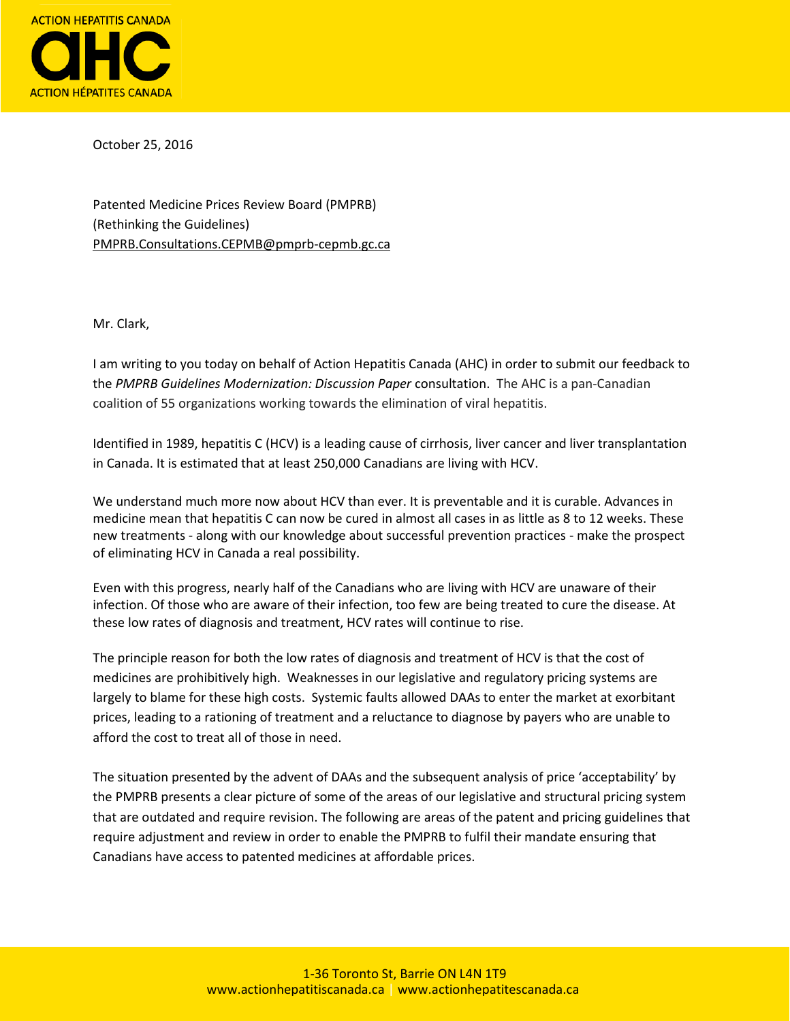

October 25, 2016

Patented Medicine Prices Review Board (PMPRB) (Rethinking the Guidelines) [PMPRB.Consultations.CEPMB@pmprb-cepmb.gc.ca](mailto:PMPRB.Consultations.CEPMB@pmprb-cepmb.gc.ca)

Mr. Clark,

I am writing to you today on behalf of Action Hepatitis Canada (AHC) in order to submit our feedback to the *PMPRB Guidelines Modernization: Discussion Paper* consultation. The AHC is a pan-Canadian coalition of 55 organizations working towards the elimination of viral hepatitis.

Identified in 1989, hepatitis C (HCV) is a leading cause of cirrhosis, liver cancer and liver transplantation in Canada. It is estimated that at least 250,000 Canadians are living with HCV.

We understand much more now about HCV than ever. It is preventable and it is curable. Advances in medicine mean that hepatitis C can now be cured in almost all cases in as little as 8 to 12 weeks. These new treatments - along with our knowledge about successful prevention practices - make the prospect of eliminating HCV in Canada a real possibility.

Even with this progress, nearly half of the Canadians who are living with HCV are unaware of their infection. Of those who are aware of their infection, too few are being treated to cure the disease. At these low rates of diagnosis and treatment, HCV rates will continue to rise.

The principle reason for both the low rates of diagnosis and treatment of HCV is that the cost of medicines are prohibitively high. Weaknesses in our legislative and regulatory pricing systems are largely to blame for these high costs. Systemic faults allowed DAAs to enter the market at exorbitant prices, leading to a rationing of treatment and a reluctance to diagnose by payers who are unable to afford the cost to treat all of those in need.

The situation presented by the advent of DAAs and the subsequent analysis of price 'acceptability' by the PMPRB presents a clear picture of some of the areas of our legislative and structural pricing system that are outdated and require revision. The following are areas of the patent and pricing guidelines that require adjustment and review in order to enable the PMPRB to fulfil their mandate ensuring that Canadians have access to patented medicines at affordable prices.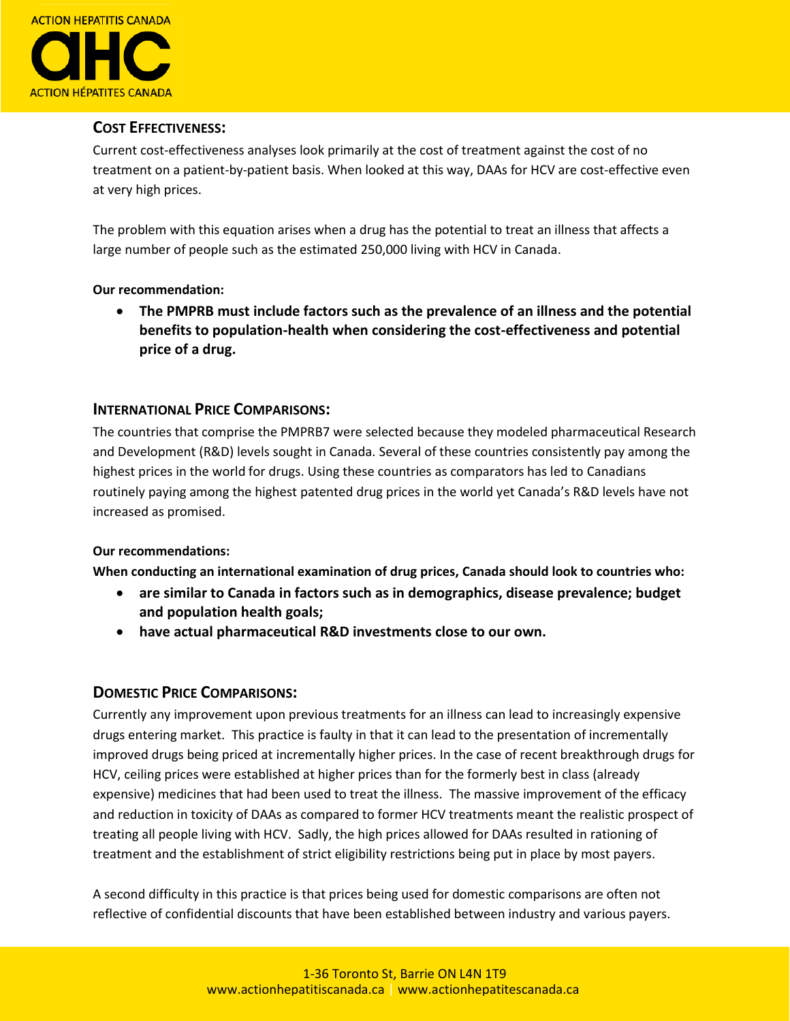

## **COST EFFECTIVENESS:**

Current cost-effectiveness analyses look primarily at the cost of treatment against the cost of no treatment on a patient-by-patient basis. When looked at this way, DAAs for HCV are cost-effective even at very high prices.

The problem with this equation arises when a drug has the potential to treat an illness that affects a large number of people such as the estimated 250,000 living with HCV in Canada.

#### **Our recommendation:**

 **The PMPRB must include factors such as the prevalence of an illness and the potential benefits to population-health when considering the cost-effectiveness and potential price of a drug.** 

# **INTERNATIONAL PRICE COMPARISONS:**

The countries that comprise the PMPRB7 were selected because they modeled pharmaceutical Research and Development (R&D) levels sought in Canada. Several of these countries consistently pay among the highest prices in the world for drugs. Using these countries as comparators has led to Canadians routinely paying among the highest patented drug prices in the world yet Canada's R&D levels have not increased as promised.

#### **Our recommendations:**

**When conducting an international examination of drug prices, Canada should look to countries who:**

- **are similar to Canada in factors such as in demographics, disease prevalence; budget and population health goals;**
- **have actual pharmaceutical R&D investments close to our own.**

### **DOMESTIC PRICE COMPARISONS:**

Currently any improvement upon previous treatments for an illness can lead to increasingly expensive drugs entering market. This practice is faulty in that it can lead to the presentation of incrementally improved drugs being priced at incrementally higher prices. In the case of recent breakthrough drugs for HCV, ceiling prices were established at higher prices than for the formerly best in class (already expensive) medicines that had been used to treat the illness. The massive improvement of the efficacy and reduction in toxicity of DAAs as compared to former HCV treatments meant the realistic prospect of treating all people living with HCV. Sadly, the high prices allowed for DAAs resulted in rationing of treatment and the establishment of strict eligibility restrictions being put in place by most payers.

A second difficulty in this practice is that prices being used for domestic comparisons are often not reflective of confidential discounts that have been established between industry and various payers.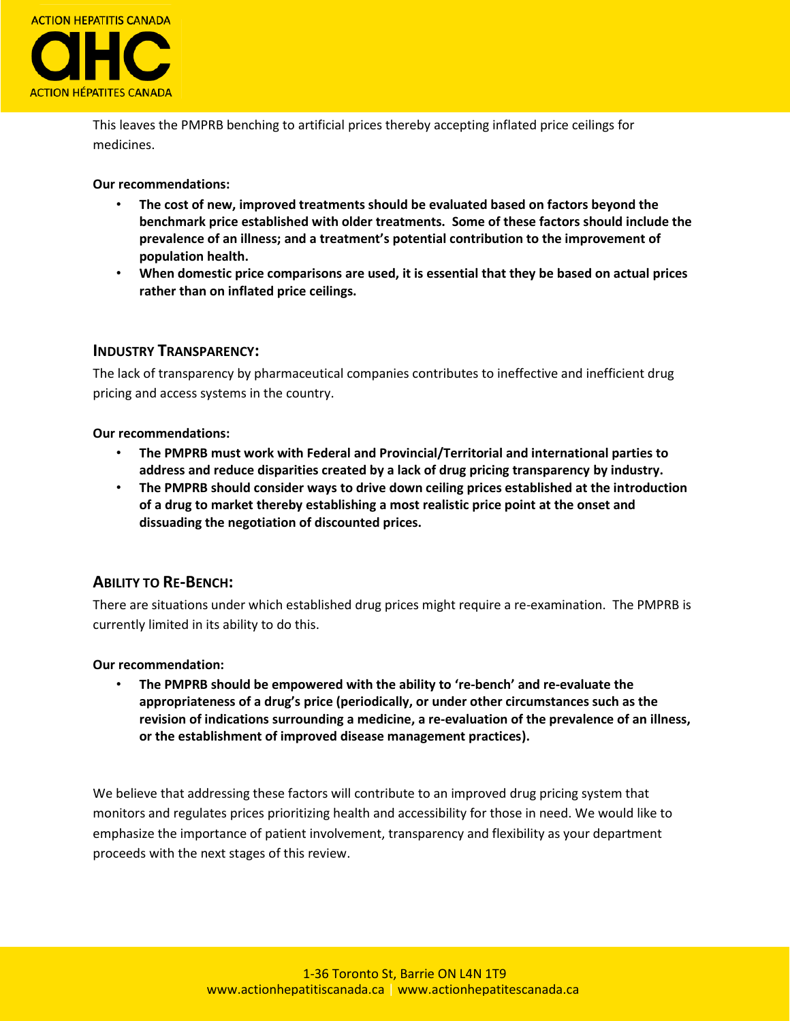

This leaves the PMPRB benching to artificial prices thereby accepting inflated price ceilings for medicines.

**Our recommendations:**

- **The cost of new, improved treatments should be evaluated based on factors beyond the benchmark price established with older treatments. Some of these factors should include the prevalence of an illness; and a treatment's potential contribution to the improvement of population health.**
- **When domestic price comparisons are used, it is essential that they be based on actual prices rather than on inflated price ceilings.**

#### **INDUSTRY TRANSPARENCY:**

The lack of transparency by pharmaceutical companies contributes to ineffective and inefficient drug pricing and access systems in the country.

#### **Our recommendations:**

- **The PMPRB must work with Federal and Provincial/Territorial and international parties to address and reduce disparities created by a lack of drug pricing transparency by industry.**
- **The PMPRB should consider ways to drive down ceiling prices established at the introduction of a drug to market thereby establishing a most realistic price point at the onset and dissuading the negotiation of discounted prices.**

### **ABILITY TO RE-BENCH:**

There are situations under which established drug prices might require a re-examination. The PMPRB is currently limited in its ability to do this.

#### **Our recommendation:**

• **The PMPRB should be empowered with the ability to 're-bench' and re-evaluate the appropriateness of a drug's price (periodically, or under other circumstances such as the revision of indications surrounding a medicine, a re-evaluation of the prevalence of an illness, or the establishment of improved disease management practices).**

We believe that addressing these factors will contribute to an improved drug pricing system that monitors and regulates prices prioritizing health and accessibility for those in need. We would like to emphasize the importance of patient involvement, transparency and flexibility as your department proceeds with the next stages of this review.